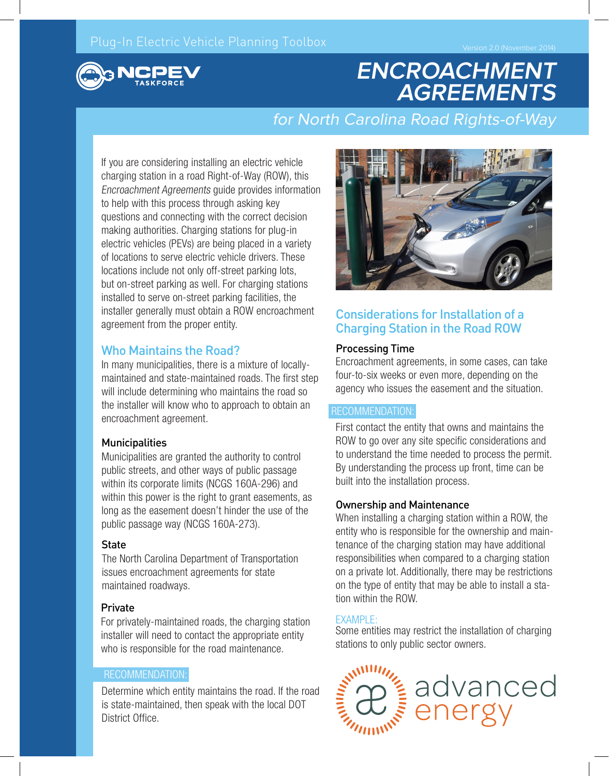# **ENCROACHMENT AGREEMENTS**

# for North Carolina Road Rights-of-Way

If you are considering installing an electric vehicle charging station in a road Right-of-Way (ROW), this Encroachment Agreements guide provides information to help with this process through asking key questions and connecting with the correct decision making authorities. Charging stations for plug-in electric vehicles (PEVs) are being placed in a variety of locations to serve electric vehicle drivers. These locations include not only off-street parking lots, but on-street parking as well. For charging stations installed to serve on-street parking facilities, the installer generally must obtain a ROW encroachment agreement from the proper entity.

#### Who Maintains the Road?

In many municipalities, there is a mixture of locallymaintained and state-maintained roads. The first step will include determining who maintains the road so the installer will know who to approach to obtain an encroachment agreement.

#### **Municipalities**

Municipalities are granted the authority to control public streets, and other ways of public passage within its corporate limits (NCGS 160A-296) and within this power is the right to grant easements, as long as the easement doesn't hinder the use of the public passage way (NCGS 160A-273).

#### **State**

The North Carolina Department of Transportation issues encroachment agreements for state maintained roadways.

#### **Private**

For privately-maintained roads, the charging station installer will need to contact the appropriate entity who is responsible for the road maintenance.

#### RECOMMENDATION:

Determine which entity maintains the road. If the road is state-maintained, then speak with the local DOT District Office.



### Considerations for Installation of a Charging Station in the Road ROW

#### Processing Time

Encroachment agreements, in some cases, can take four-to-six weeks or even more, depending on the agency who issues the easement and the situation.

#### RECOMMENDATION:

First contact the entity that owns and maintains the ROW to go over any site specific considerations and to understand the time needed to process the permit. By understanding the process up front, time can be built into the installation process.

#### Ownership and Maintenance

When installing a charging station within a ROW, the entity who is responsible for the ownership and maintenance of the charging station may have additional responsibilities when compared to a charging station on a private lot. Additionally, there may be restrictions on the type of entity that may be able to install a station within the ROW.

#### **EXAMPLE:**

Some entities may restrict the installation of charging stations to only public sector owners.